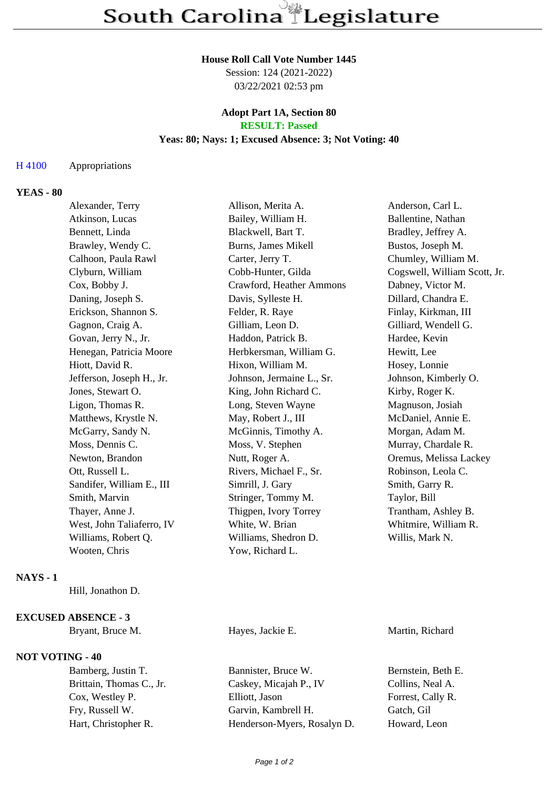### **House Roll Call Vote Number 1445**

Session: 124 (2021-2022) 03/22/2021 02:53 pm

### **Adopt Part 1A, Section 80 RESULT: Passed**

## **Yeas: 80; Nays: 1; Excused Absence: 3; Not Voting: 40**

## H 4100 Appropriations

# **YEAS - 80**

| Alexander, Terry          | Allison, Merita A.        | Anderson, Carl L.            |
|---------------------------|---------------------------|------------------------------|
| Atkinson, Lucas           | Bailey, William H.        | Ballentine, Nathan           |
| Bennett, Linda            | Blackwell, Bart T.        | Bradley, Jeffrey A.          |
| Brawley, Wendy C.         | Burns, James Mikell       | Bustos, Joseph M.            |
| Calhoon, Paula Rawl       | Carter, Jerry T.          | Chumley, William M.          |
| Clyburn, William          | Cobb-Hunter, Gilda        | Cogswell, William Scott, Jr. |
| Cox, Bobby J.             | Crawford, Heather Ammons  | Dabney, Victor M.            |
| Daning, Joseph S.         | Davis, Sylleste H.        | Dillard, Chandra E.          |
| Erickson, Shannon S.      | Felder, R. Raye           | Finlay, Kirkman, III         |
| Gagnon, Craig A.          | Gilliam, Leon D.          | Gilliard, Wendell G.         |
| Govan, Jerry N., Jr.      | Haddon, Patrick B.        | Hardee, Kevin                |
| Henegan, Patricia Moore   | Herbkersman, William G.   | Hewitt, Lee                  |
| Hiott, David R.           | Hixon, William M.         | Hosey, Lonnie                |
| Jefferson, Joseph H., Jr. | Johnson, Jermaine L., Sr. | Johnson, Kimberly O.         |
| Jones, Stewart O.         | King, John Richard C.     | Kirby, Roger K.              |
| Ligon, Thomas R.          | Long, Steven Wayne        | Magnuson, Josiah             |
| Matthews, Krystle N.      | May, Robert J., III       | McDaniel, Annie E.           |
| McGarry, Sandy N.         | McGinnis, Timothy A.      | Morgan, Adam M.              |
| Moss, Dennis C.           | Moss, V. Stephen          | Murray, Chardale R.          |
| Newton, Brandon           | Nutt, Roger A.            | Oremus, Melissa Lackey       |
| Ott, Russell L.           | Rivers, Michael F., Sr.   | Robinson, Leola C.           |
| Sandifer, William E., III | Simrill, J. Gary          | Smith, Garry R.              |
| Smith, Marvin             | Stringer, Tommy M.        | Taylor, Bill                 |
| Thayer, Anne J.           | Thigpen, Ivory Torrey     | Trantham, Ashley B.          |
| West, John Taliaferro, IV | White, W. Brian           | Whitmire, William R.         |
| Williams, Robert Q.       | Williams, Shedron D.      | Willis, Mark N.              |
| Wooten, Chris             | Yow, Richard L.           |                              |
|                           |                           |                              |

## **NAYS - 1**

Hill, Jonathon D.

### **EXCUSED ABSENCE - 3**

Bryant, Bruce M. **Hayes, Jackie E.** Martin, Richard

# **NOT VOTING - 40**

Bamberg, Justin T. Bannister, Bruce W. Bernstein, Beth E. Brittain, Thomas C., Jr. Caskey, Micajah P., IV Collins, Neal A. Cox, Westley P. Elliott, Jason Forrest, Cally R. Fry, Russell W. Garvin, Kambrell H. Gatch, Gil Hart, Christopher R. Henderson-Myers, Rosalyn D. Howard, Leon